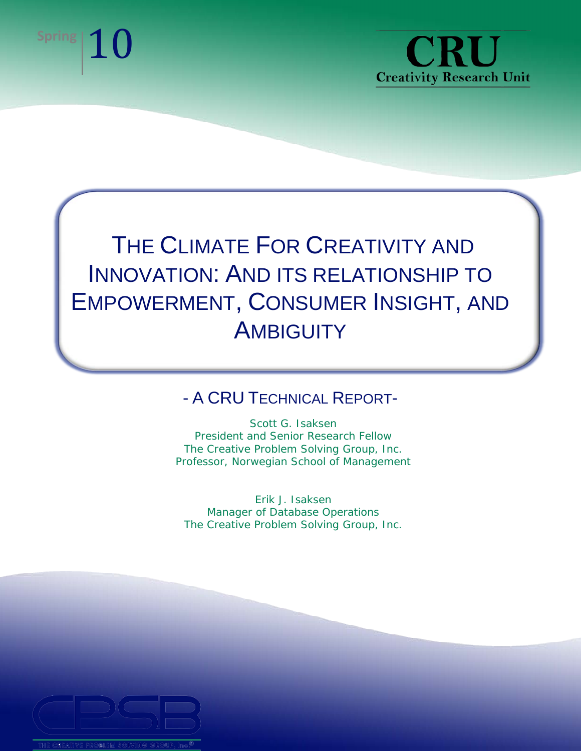



# THE CLIMATE FOR CREATIVITY AND INNOVATION: AND ITS RELATIONSHIP TO EMPOWERMENT, CONSUMER INSIGHT, AND **AMBIGUITY**

### - A CRU TECHNICAL REPORT-

Scott G. Isaksen President and Senior Research Fellow The Creative Problem Solving Group, Inc. Professor, Norwegian School of Management

Erik J. Isaksen Manager of Database Operations The Creative Problem Solving Group, Inc.



ve problem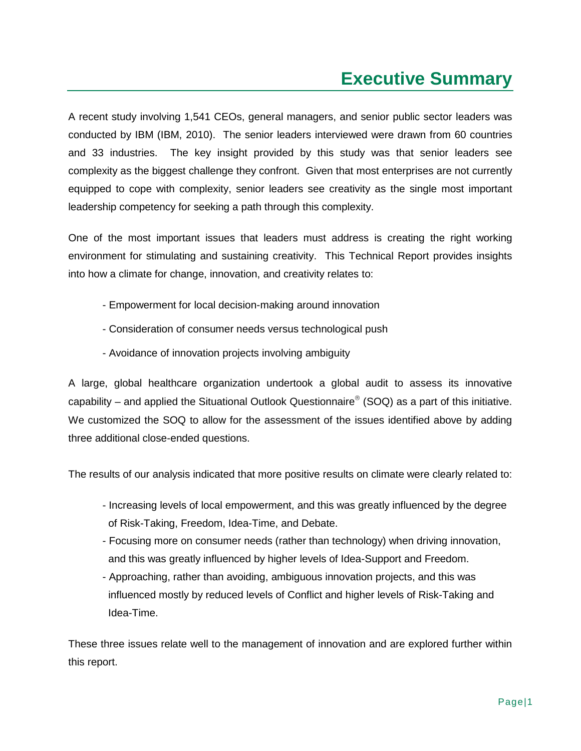# **Executive Summary**

A recent study involving 1,541 CEOs, general managers, and senior public sector leaders was conducted by IBM (IBM, 2010). The senior leaders interviewed were drawn from 60 countries and 33 industries. The key insight provided by this study was that senior leaders see complexity as the biggest challenge they confront. Given that most enterprises are not currently equipped to cope with complexity, senior leaders see creativity as the single most important leadership competency for seeking a path through this complexity.

One of the most important issues that leaders must address is creating the right working environment for stimulating and sustaining creativity. This Technical Report provides insights into how a climate for change, innovation, and creativity relates to:

- Empowerment for local decision-making around innovation
- Consideration of consumer needs versus technological push
- Avoidance of innovation projects involving ambiguity

A large, global healthcare organization undertook a global audit to assess its innovative capability – and applied the Situational Outlook Questionnaire<sup>®</sup> (SOQ) as a part of this initiative. We customized the SOQ to allow for the assessment of the issues identified above by adding three additional close-ended questions.

The results of our analysis indicated that more positive results on climate were clearly related to:

- Increasing levels of local empowerment, and this was greatly influenced by the degree of Risk-Taking, Freedom, Idea-Time, and Debate.
- Focusing more on consumer needs (rather than technology) when driving innovation, and this was greatly influenced by higher levels of Idea-Support and Freedom.
- Approaching, rather than avoiding, ambiguous innovation projects, and this was influenced mostly by reduced levels of Conflict and higher levels of Risk-Taking and Idea-Time.

These three issues relate well to the management of innovation and are explored further within this report.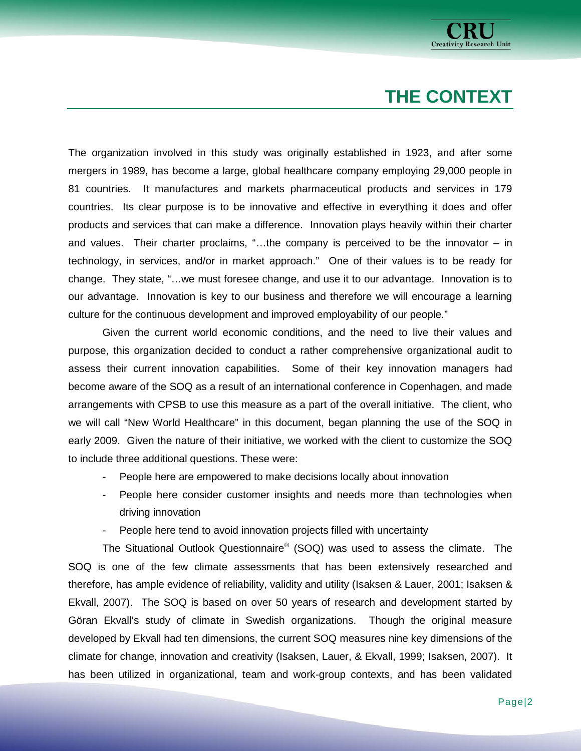

# **THE CONTEXT**

The organization involved in this study was originally established in 1923, and after some mergers in 1989, has become a large, global healthcare company employing 29,000 people in 81 countries. It manufactures and markets pharmaceutical products and services in 179 countries. Its clear purpose is to be innovative and effective in everything it does and offer products and services that can make a difference. Innovation plays heavily within their charter and values. Their charter proclaims, "…the company is perceived to be the innovator – in technology, in services, and/or in market approach." One of their values is to be ready for change. They state, "…we must foresee change, and use it to our advantage. Innovation is to our advantage. Innovation is key to our business and therefore we will encourage a learning culture for the continuous development and improved employability of our people."

Given the current world economic conditions, and the need to live their values and purpose, this organization decided to conduct a rather comprehensive organizational audit to assess their current innovation capabilities. Some of their key innovation managers had become aware of the SOQ as a result of an international conference in Copenhagen, and made arrangements with CPSB to use this measure as a part of the overall initiative. The client, who we will call "New World Healthcare" in this document, began planning the use of the SOQ in early 2009. Given the nature of their initiative, we worked with the client to customize the SOQ to include three additional questions. These were:

- People here are empowered to make decisions locally about innovation
- People here consider customer insights and needs more than technologies when driving innovation
- People here tend to avoid innovation projects filled with uncertainty

The Situational Outlook Questionnaire® (SOQ) was used to assess the climate. The SOQ is one of the few climate assessments that has been extensively researched and therefore, has ample evidence of reliability, validity and utility (Isaksen & Lauer, 2001; Isaksen & Ekvall, 2007). The SOQ is based on over 50 years of research and development started by Göran Ekvall's study of climate in Swedish organizations. Though the original measure developed by Ekvall had ten dimensions, the current SOQ measures nine key dimensions of the climate for change, innovation and creativity (Isaksen, Lauer, & Ekvall, 1999; Isaksen, 2007). It has been utilized in organizational, team and work-group contexts, and has been validated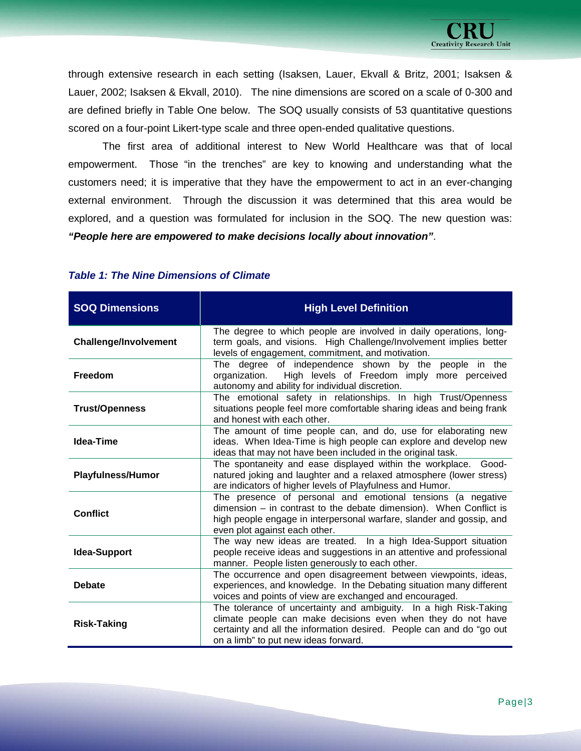

through extensive research in each setting (Isaksen, Lauer, Ekvall & Britz, 2001; Isaksen & Lauer, 2002; Isaksen & Ekvall, 2010). The nine dimensions are scored on a scale of 0-300 and are defined briefly in Table One below. The SOQ usually consists of 53 quantitative questions scored on a four-point Likert-type scale and three open-ended qualitative questions.

The first area of additional interest to New World Healthcare was that of local empowerment. Those "in the trenches" are key to knowing and understanding what the customers need; it is imperative that they have the empowerment to act in an ever-changing external environment. Through the discussion it was determined that this area would be explored, and a question was formulated for inclusion in the SOQ. The new question was: *"People here are empowered to make decisions locally about innovation"*.

| <b>SOQ Dimensions</b>        | <b>High Level Definition</b>                                                                                                                                                                                                                      |
|------------------------------|---------------------------------------------------------------------------------------------------------------------------------------------------------------------------------------------------------------------------------------------------|
| <b>Challenge/Involvement</b> | The degree to which people are involved in daily operations, long-<br>term goals, and visions. High Challenge/Involvement implies better<br>levels of engagement, commitment, and motivation.                                                     |
| Freedom                      | The degree of independence shown by the people in the<br>organization. High levels of Freedom imply more perceived<br>autonomy and ability for individual discretion.                                                                             |
| <b>Trust/Openness</b>        | The emotional safety in relationships. In high Trust/Openness<br>situations people feel more comfortable sharing ideas and being frank<br>and honest with each other.                                                                             |
| Idea-Time                    | The amount of time people can, and do, use for elaborating new<br>ideas. When Idea-Time is high people can explore and develop new<br>ideas that may not have been included in the original task.                                                 |
| <b>Playfulness/Humor</b>     | The spontaneity and ease displayed within the workplace. Good-<br>natured joking and laughter and a relaxed atmosphere (lower stress)<br>are indicators of higher levels of Playfulness and Humor.                                                |
| <b>Conflict</b>              | The presence of personal and emotional tensions (a negative<br>dimension - in contrast to the debate dimension). When Conflict is<br>high people engage in interpersonal warfare, slander and gossip, and<br>even plot against each other.        |
| <b>Idea-Support</b>          | The way new ideas are treated. In a high Idea-Support situation<br>people receive ideas and suggestions in an attentive and professional<br>manner. People listen generously to each other.                                                       |
| <b>Debate</b>                | The occurrence and open disagreement between viewpoints, ideas,<br>experiences, and knowledge. In the Debating situation many different<br>voices and points of view are exchanged and encouraged.                                                |
| <b>Risk-Taking</b>           | The tolerance of uncertainty and ambiguity. In a high Risk-Taking<br>climate people can make decisions even when they do not have<br>certainty and all the information desired. People can and do "go out<br>on a limb" to put new ideas forward. |

#### *Table 1: The Nine Dimensions of Climate*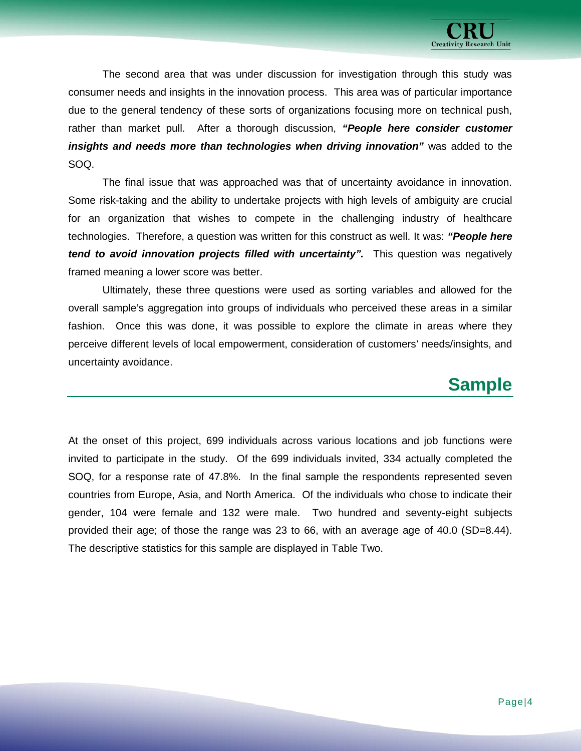

The second area that was under discussion for investigation through this study was consumer needs and insights in the innovation process. This area was of particular importance due to the general tendency of these sorts of organizations focusing more on technical push, rather than market pull. After a thorough discussion, *"People here consider customer insights and needs more than technologies when driving innovation"* was added to the SOQ.

The final issue that was approached was that of uncertainty avoidance in innovation. Some risk-taking and the ability to undertake projects with high levels of ambiguity are crucial for an organization that wishes to compete in the challenging industry of healthcare technologies. Therefore, a question was written for this construct as well. It was: *"People here tend to avoid innovation projects filled with uncertainty".* This question was negatively framed meaning a lower score was better.

Ultimately, these three questions were used as sorting variables and allowed for the overall sample's aggregation into groups of individuals who perceived these areas in a similar fashion. Once this was done, it was possible to explore the climate in areas where they perceive different levels of local empowerment, consideration of customers' needs/insights, and uncertainty avoidance.

## **Sample**

At the onset of this project, 699 individuals across various locations and job functions were invited to participate in the study. Of the 699 individuals invited, 334 actually completed the SOQ, for a response rate of 47.8%. In the final sample the respondents represented seven countries from Europe, Asia, and North America. Of the individuals who chose to indicate their gender, 104 were female and 132 were male. Two hundred and seventy-eight subjects provided their age; of those the range was 23 to 66, with an average age of 40.0 (SD=8.44). The descriptive statistics for this sample are displayed in Table Two.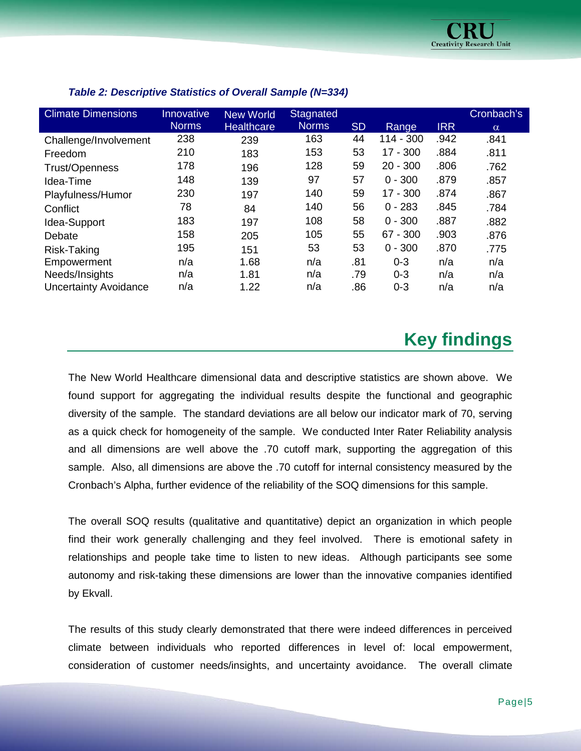| <b>Climate Dimensions</b>    | Innovative   | Stagnated<br><b>New World</b> |              |           |             |            | Cronbach's |
|------------------------------|--------------|-------------------------------|--------------|-----------|-------------|------------|------------|
|                              | <b>Norms</b> | <b>Healthcare</b>             | <b>Norms</b> | <b>SD</b> | Range       | <b>IRR</b> | $\alpha$   |
| Challenge/Involvement        | 238          | 239                           | 163          | 44        | $114 - 300$ | .942       | .841       |
| Freedom                      | 210          | 183                           | 153          | 53        | 17 - 300    | .884       | .811       |
| Trust/Openness               | 178          | 196                           | 128          | 59        | $20 - 300$  | .806       | .762       |
| Idea-Time                    | 148          | 139                           | 97           | 57        | $0 - 300$   | .879       | .857       |
| Playfulness/Humor            | 230          | 197                           | 140          | 59        | $17 - 300$  | .874       | .867       |
| Conflict                     | 78           | 84                            | 140          | 56        | $0 - 283$   | .845       | .784       |
| Idea-Support                 | 183          | 197                           | 108          | 58        | $0 - 300$   | .887       | .882       |
| Debate                       | 158          | 205                           | 105          | 55        | $67 - 300$  | .903       | .876       |
| Risk-Taking                  | 195          | 151                           | 53           | 53        | $0 - 300$   | .870       | .775       |
| Empowerment                  | n/a          | 1.68                          | n/a          | .81       | $0 - 3$     | n/a        | n/a        |
| Needs/Insights               | n/a          | 1.81                          | n/a          | .79       | $0 - 3$     | n/a        | n/a        |
| <b>Uncertainty Avoidance</b> | n/a          | 1.22                          | n/a          | .86       | $0 - 3$     | n/a        | n/a        |

#### *Table 2: Descriptive Statistics of Overall Sample (N=334)*

### **Key findings**

The New World Healthcare dimensional data and descriptive statistics are shown above. We found support for aggregating the individual results despite the functional and geographic diversity of the sample. The standard deviations are all below our indicator mark of 70, serving as a quick check for homogeneity of the sample. We conducted Inter Rater Reliability analysis and all dimensions are well above the .70 cutoff mark, supporting the aggregation of this sample. Also, all dimensions are above the .70 cutoff for internal consistency measured by the Cronbach's Alpha, further evidence of the reliability of the SOQ dimensions for this sample.

The overall SOQ results (qualitative and quantitative) depict an organization in which people find their work generally challenging and they feel involved. There is emotional safety in relationships and people take time to listen to new ideas. Although participants see some autonomy and risk-taking these dimensions are lower than the innovative companies identified by Ekvall.

The results of this study clearly demonstrated that there were indeed differences in perceived climate between individuals who reported differences in level of: local empowerment, consideration of customer needs/insights, and uncertainty avoidance. The overall climate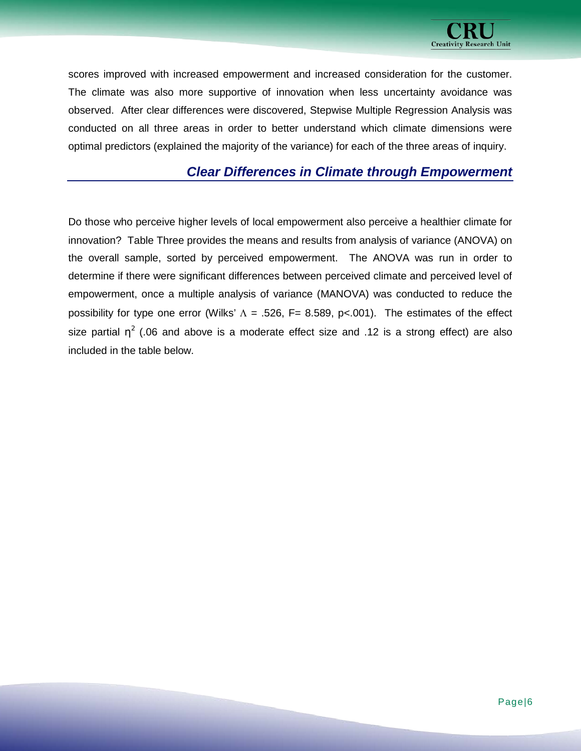

scores improved with increased empowerment and increased consideration for the customer. The climate was also more supportive of innovation when less uncertainty avoidance was observed. After clear differences were discovered, Stepwise Multiple Regression Analysis was conducted on all three areas in order to better understand which climate dimensions were optimal predictors (explained the majority of the variance) for each of the three areas of inquiry.

### *Clear Differences in Climate through Empowerment*

Do those who perceive higher levels of local empowerment also perceive a healthier climate for innovation? Table Three provides the means and results from analysis of variance (ANOVA) on the overall sample, sorted by perceived empowerment. The ANOVA was run in order to determine if there were significant differences between perceived climate and perceived level of empowerment, once a multiple analysis of variance (MANOVA) was conducted to reduce the possibility for type one error (Wilks'  $\Lambda = .526$ , F= 8.589, p<.001). The estimates of the effect size partial  $\eta^2$  (.06 and above is a moderate effect size and .12 is a strong effect) are also included in the table below.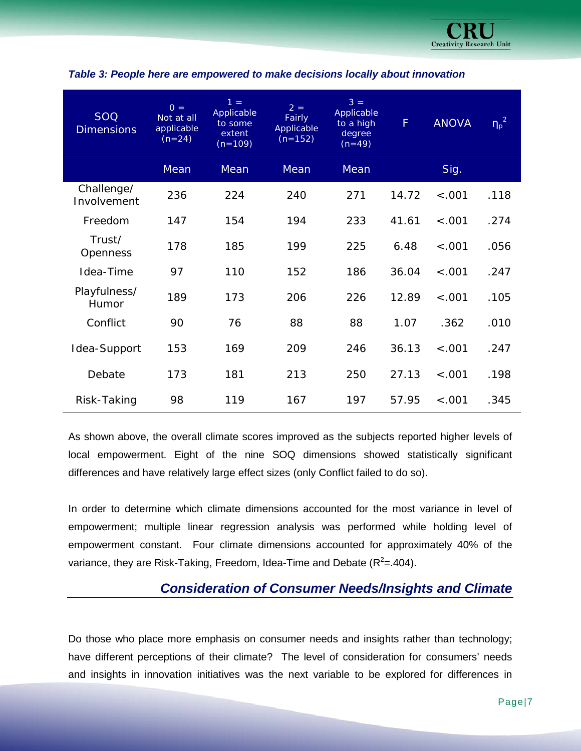

| <b>SOQ</b><br><b>Dimensions</b> | $0 =$<br>Not at all<br>applicable<br>$(n=24)$ | $1 =$<br>Applicable<br>to some<br>extent<br>$(n=109)$ | $2 =$<br>Fairly<br>Applicable<br>$(n=152)$ | $3 =$<br>Applicable<br>to a high<br>degree<br>$(n=49)$ | F     | <b>ANOVA</b> | $\eta_p^2$ |
|---------------------------------|-----------------------------------------------|-------------------------------------------------------|--------------------------------------------|--------------------------------------------------------|-------|--------------|------------|
|                                 | Mean                                          | Mean                                                  | Mean                                       | Mean                                                   |       | Sig.         |            |
| Challenge/<br>Involvement       | 236                                           | 224                                                   | 240                                        | 271                                                    | 14.72 | < .001       | .118       |
| Freedom                         | 147                                           | 154                                                   | 194                                        | 233                                                    | 41.61 | < .001       | .274       |
| Trust/<br><b>Openness</b>       | 178                                           | 185                                                   | 199                                        | 225                                                    | 6.48  | < .001       | .056       |
| Idea-Time                       | 97                                            | 110                                                   | 152                                        | 186                                                    | 36.04 | < .001       | .247       |
| Playfulness/<br>Humor           | 189                                           | 173                                                   | 206                                        | 226                                                    | 12.89 | < .001       | .105       |
| Conflict                        | 90                                            | 76                                                    | 88                                         | 88                                                     | 1.07  | .362         | .010       |
| Idea-Support                    | 153                                           | 169                                                   | 209                                        | 246                                                    | 36.13 | < .001       | .247       |
| Debate                          | 173                                           | 181                                                   | 213                                        | 250                                                    | 27.13 | < .001       | .198       |
| Risk-Taking                     | 98                                            | 119                                                   | 167                                        | 197                                                    | 57.95 | < .001       | .345       |

#### *Table 3: People here are empowered to make decisions locally about innovation*

As shown above, the overall climate scores improved as the subjects reported higher levels of local empowerment. Eight of the nine SOQ dimensions showed statistically significant differences and have relatively large effect sizes (only Conflict failed to do so).

In order to determine which climate dimensions accounted for the most variance in level of empowerment; multiple linear regression analysis was performed while holding level of empowerment constant. Four climate dimensions accounted for approximately 40% of the variance, they are Risk-Taking, Freedom, Idea-Time and Debate ( $R^2$ =.404).

### *Consideration of Consumer Needs/Insights and Climate*

Do those who place more emphasis on consumer needs and insights rather than technology; have different perceptions of their climate? The level of consideration for consumers' needs and insights in innovation initiatives was the next variable to be explored for differences in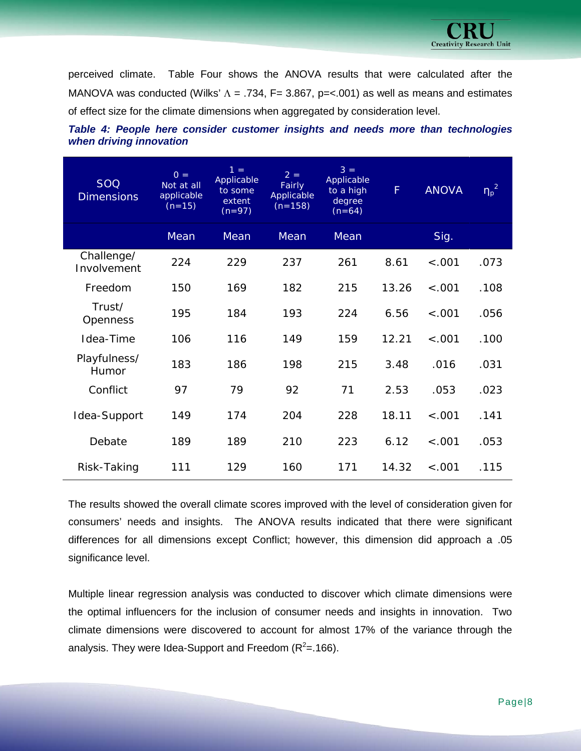

perceived climate. Table Four shows the ANOVA results that were calculated after the MANOVA was conducted (Wilks'  $\Lambda$  = .734, F= 3.867, p=<.001) as well as means and estimates of effect size for the climate dimensions when aggregated by consideration level.

|  |                         |  |  |  |  | Table 4: People here consider customer insights and needs more than technologies |
|--|-------------------------|--|--|--|--|----------------------------------------------------------------------------------|
|  | when driving innovation |  |  |  |  |                                                                                  |

| <b>SOQ</b><br><b>Dimensions</b> | $0 =$<br>Not at all<br>applicable<br>$(n=15)$ | $1 =$<br>Applicable<br>to some<br>extent<br>$(n=97)$ | $2 =$<br>Fairly<br>Applicable<br>$(n=158)$ | $3 =$<br>Applicable<br>to a high<br>degree<br>$(n=64)$ | F     | <b>ANOVA</b> | $\eta_p^2$ |
|---------------------------------|-----------------------------------------------|------------------------------------------------------|--------------------------------------------|--------------------------------------------------------|-------|--------------|------------|
|                                 | Mean                                          | <b>Mean</b>                                          | Mean                                       | Mean                                                   |       | Sig.         |            |
| Challenge/<br>Involvement       | 224                                           | 229                                                  | 237                                        | 261                                                    | 8.61  | < .001       | .073       |
| Freedom                         | 150                                           | 169                                                  | 182                                        | 215                                                    | 13.26 | < .001       | .108       |
| Trust/<br>Openness              | 195                                           | 184                                                  | 193                                        | 224                                                    | 6.56  | < .001       | .056       |
| Idea-Time                       | 106                                           | 116                                                  | 149                                        | 159                                                    | 12.21 | < .001       | .100       |
| Playfulness/<br>Humor           | 183                                           | 186                                                  | 198                                        | 215                                                    | 3.48  | .016         | .031       |
| Conflict                        | 97                                            | 79                                                   | 92                                         | 71                                                     | 2.53  | .053         | .023       |
| Idea-Support                    | 149                                           | 174                                                  | 204                                        | 228                                                    | 18.11 | < .001       | .141       |
| Debate                          | 189                                           | 189                                                  | 210                                        | 223                                                    | 6.12  | < .001       | .053       |
| Risk-Taking                     | 111                                           | 129                                                  | 160                                        | 171                                                    | 14.32 | < .001       | .115       |

The results showed the overall climate scores improved with the level of consideration given for consumers' needs and insights. The ANOVA results indicated that there were significant differences for all dimensions except Conflict; however, this dimension did approach a .05 significance level.

Multiple linear regression analysis was conducted to discover which climate dimensions were the optimal influencers for the inclusion of consumer needs and insights in innovation. Two climate dimensions were discovered to account for almost 17% of the variance through the analysis. They were Idea-Support and Freedom ( $R^2$ =.166).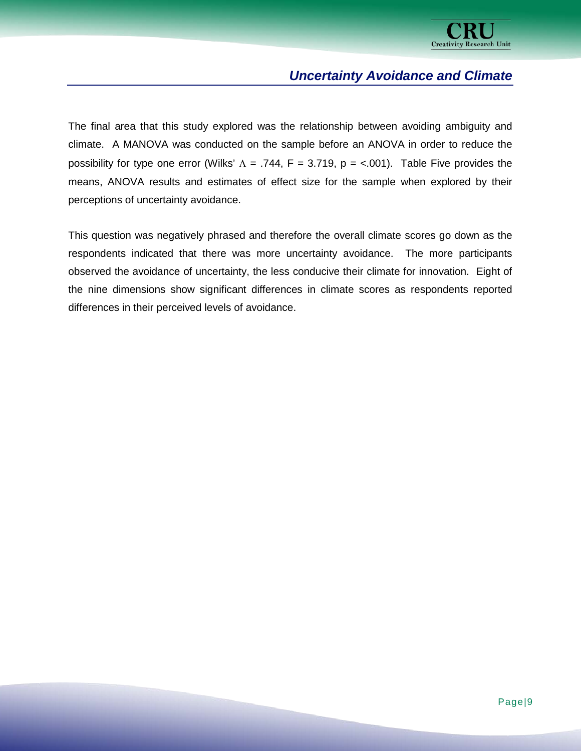

### *Uncertainty Avoidance and Climate*

The final area that this study explored was the relationship between avoiding ambiguity and climate. A MANOVA was conducted on the sample before an ANOVA in order to reduce the possibility for type one error (Wilks'  $\Lambda = .744$ , F = 3.719, p = <.001). Table Five provides the means, ANOVA results and estimates of effect size for the sample when explored by their perceptions of uncertainty avoidance.

This question was negatively phrased and therefore the overall climate scores go down as the respondents indicated that there was more uncertainty avoidance. The more participants observed the avoidance of uncertainty, the less conducive their climate for innovation. Eight of the nine dimensions show significant differences in climate scores as respondents reported differences in their perceived levels of avoidance.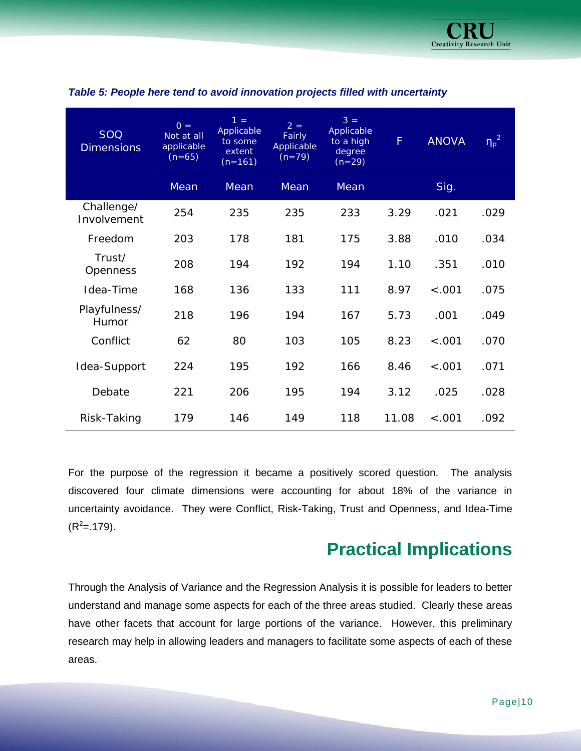| <b>SOQ</b><br><b>Dimensions</b> | $0 =$<br>Not at all<br>applicable<br>$(n=65)$ | $1 =$<br>Applicable<br>to some<br>extent<br>$(n=161)$ | $2 =$<br>Fairly<br>Applicable<br>$(n=79)$ | $3 =$<br>Applicable<br>to a high<br>degree<br>$(n=29)$ | F     | <b>ANOVA</b> | $\eta_p^2$ |
|---------------------------------|-----------------------------------------------|-------------------------------------------------------|-------------------------------------------|--------------------------------------------------------|-------|--------------|------------|
|                                 | Mean                                          | Mean                                                  | Mean                                      | Mean                                                   |       | Sig.         |            |
| Challenge/<br>Involvement       | 254                                           | 235                                                   | 235                                       | 233                                                    | 3.29  | .021         | .029       |
| Freedom                         | 203                                           | 178                                                   | 181                                       | 175                                                    | 3.88  | .010         | .034       |
| Trust/<br>Openness              | 208                                           | 194                                                   | 192                                       | 194                                                    | 1.10  | .351         | .010       |
| Idea-Time                       | 168                                           | 136                                                   | 133                                       | 111                                                    | 8.97  | < .001       | .075       |
| Playfulness/<br>Humor           | 218                                           | 196                                                   | 194                                       | 167                                                    | 5.73  | .001         | .049       |
| Conflict                        | 62                                            | 80                                                    | 103                                       | 105                                                    | 8.23  | < .001       | .070       |
| Idea-Support                    | 224                                           | 195                                                   | 192                                       | 166                                                    | 8.46  | < .001       | .071       |
| Debate                          | 221                                           | 206                                                   | 195                                       | 194                                                    | 3.12  | .025         | .028       |
| Risk-Taking                     | 179                                           | 146                                                   | 149                                       | 118                                                    | 11.08 | < .001       | .092       |

#### *Table 5: People here tend to avoid innovation projects filled with uncertainty*

For the purpose of the regression it became a positively scored question. The analysis discovered four climate dimensions were accounting for about 18% of the variance in uncertainty avoidance. They were Conflict, Risk-Taking, Trust and Openness, and Idea-Time  $(R<sup>2</sup>=.179).$ 

# **Practical Implications**

Through the Analysis of Variance and the Regression Analysis it is possible for leaders to better understand and manage some aspects for each of the three areas studied. Clearly these areas have other facets that account for large portions of the variance. However, this preliminary research may help in allowing leaders and managers to facilitate some aspects of each of these areas.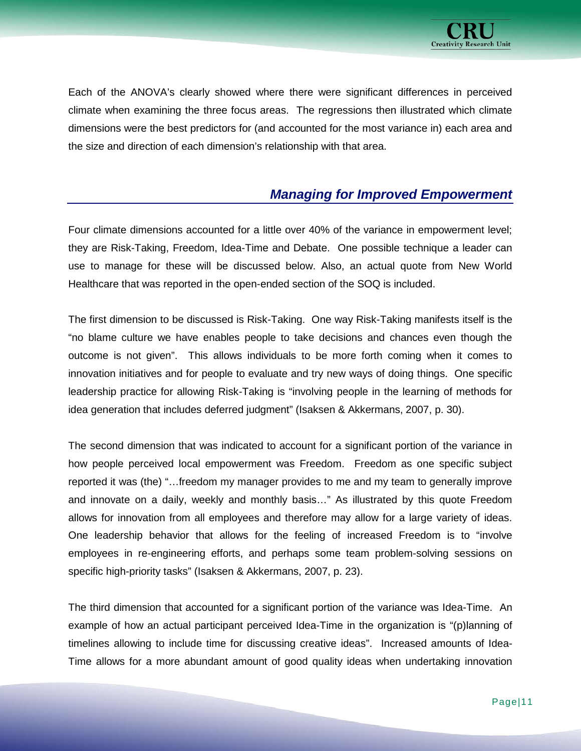

Each of the ANOVA's clearly showed where there were significant differences in perceived climate when examining the three focus areas. The regressions then illustrated which climate dimensions were the best predictors for (and accounted for the most variance in) each area and the size and direction of each dimension's relationship with that area.

### *Managing for Improved Empowerment*

Four climate dimensions accounted for a little over 40% of the variance in empowerment level; they are Risk-Taking, Freedom, Idea-Time and Debate. One possible technique a leader can use to manage for these will be discussed below. Also, an actual quote from New World Healthcare that was reported in the open-ended section of the SOQ is included.

The first dimension to be discussed is Risk-Taking. One way Risk-Taking manifests itself is the "no blame culture we have enables people to take decisions and chances even though the outcome is not given". This allows individuals to be more forth coming when it comes to innovation initiatives and for people to evaluate and try new ways of doing things. One specific leadership practice for allowing Risk-Taking is "involving people in the learning of methods for idea generation that includes deferred judgment" (Isaksen & Akkermans, 2007, p. 30).

The second dimension that was indicated to account for a significant portion of the variance in how people perceived local empowerment was Freedom. Freedom as one specific subject reported it was (the) "…freedom my manager provides to me and my team to generally improve and innovate on a daily, weekly and monthly basis…" As illustrated by this quote Freedom allows for innovation from all employees and therefore may allow for a large variety of ideas. One leadership behavior that allows for the feeling of increased Freedom is to "involve employees in re-engineering efforts, and perhaps some team problem-solving sessions on specific high-priority tasks" (Isaksen & Akkermans, 2007, p. 23).

The third dimension that accounted for a significant portion of the variance was Idea-Time. An example of how an actual participant perceived Idea-Time in the organization is "(p)lanning of timelines allowing to include time for discussing creative ideas". Increased amounts of Idea-Time allows for a more abundant amount of good quality ideas when undertaking innovation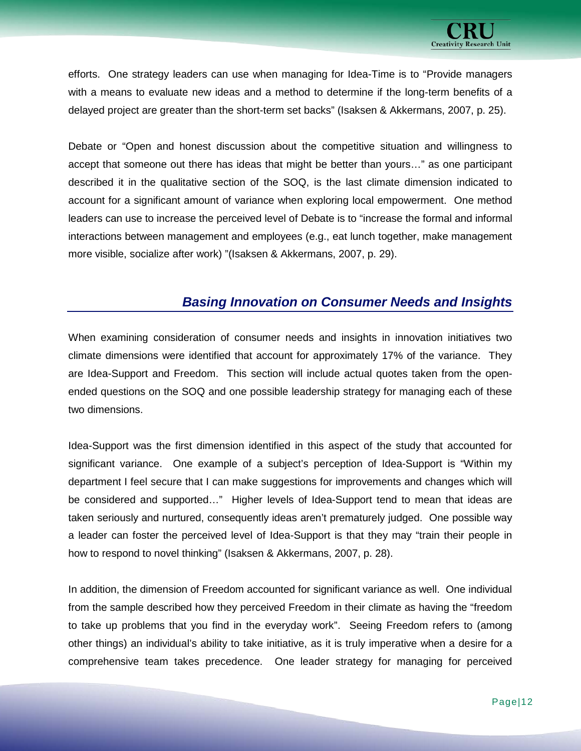

efforts. One strategy leaders can use when managing for Idea-Time is to "Provide managers with a means to evaluate new ideas and a method to determine if the long-term benefits of a delayed project are greater than the short-term set backs" (Isaksen & Akkermans, 2007, p. 25).

Debate or "Open and honest discussion about the competitive situation and willingness to accept that someone out there has ideas that might be better than yours…" as one participant described it in the qualitative section of the SOQ, is the last climate dimension indicated to account for a significant amount of variance when exploring local empowerment. One method leaders can use to increase the perceived level of Debate is to "increase the formal and informal interactions between management and employees (e.g., eat lunch together, make management more visible, socialize after work) "(Isaksen & Akkermans, 2007, p. 29).

### *Basing Innovation on Consumer Needs and Insights*

When examining consideration of consumer needs and insights in innovation initiatives two climate dimensions were identified that account for approximately 17% of the variance. They are Idea-Support and Freedom. This section will include actual quotes taken from the openended questions on the SOQ and one possible leadership strategy for managing each of these two dimensions.

Idea-Support was the first dimension identified in this aspect of the study that accounted for significant variance. One example of a subject's perception of Idea-Support is "Within my department I feel secure that I can make suggestions for improvements and changes which will be considered and supported…" Higher levels of Idea-Support tend to mean that ideas are taken seriously and nurtured, consequently ideas aren't prematurely judged. One possible way a leader can foster the perceived level of Idea-Support is that they may "train their people in how to respond to novel thinking" (Isaksen & Akkermans, 2007, p. 28).

In addition, the dimension of Freedom accounted for significant variance as well. One individual from the sample described how they perceived Freedom in their climate as having the "freedom to take up problems that you find in the everyday work". Seeing Freedom refers to (among other things) an individual's ability to take initiative, as it is truly imperative when a desire for a comprehensive team takes precedence. One leader strategy for managing for perceived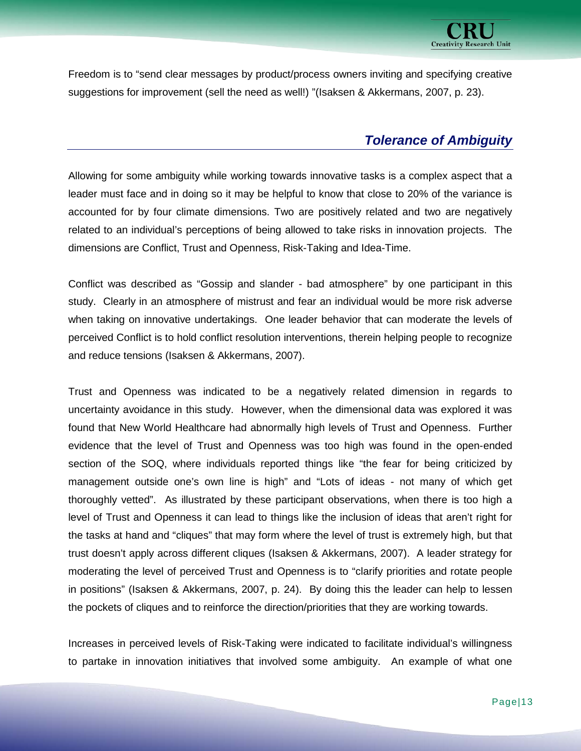

Freedom is to "send clear messages by product/process owners inviting and specifying creative suggestions for improvement (sell the need as well!) "(Isaksen & Akkermans, 2007, p. 23).

### *Tolerance of Ambiguity*

Allowing for some ambiguity while working towards innovative tasks is a complex aspect that a leader must face and in doing so it may be helpful to know that close to 20% of the variance is accounted for by four climate dimensions. Two are positively related and two are negatively related to an individual's perceptions of being allowed to take risks in innovation projects. The dimensions are Conflict, Trust and Openness, Risk-Taking and Idea-Time.

Conflict was described as "Gossip and slander - bad atmosphere" by one participant in this study. Clearly in an atmosphere of mistrust and fear an individual would be more risk adverse when taking on innovative undertakings. One leader behavior that can moderate the levels of perceived Conflict is to hold conflict resolution interventions, therein helping people to recognize and reduce tensions (Isaksen & Akkermans, 2007).

Trust and Openness was indicated to be a negatively related dimension in regards to uncertainty avoidance in this study. However, when the dimensional data was explored it was found that New World Healthcare had abnormally high levels of Trust and Openness. Further evidence that the level of Trust and Openness was too high was found in the open-ended section of the SOQ, where individuals reported things like "the fear for being criticized by management outside one's own line is high" and "Lots of ideas - not many of which get thoroughly vetted". As illustrated by these participant observations, when there is too high a level of Trust and Openness it can lead to things like the inclusion of ideas that aren't right for the tasks at hand and "cliques" that may form where the level of trust is extremely high, but that trust doesn't apply across different cliques (Isaksen & Akkermans, 2007). A leader strategy for moderating the level of perceived Trust and Openness is to "clarify priorities and rotate people in positions" (Isaksen & Akkermans, 2007, p. 24). By doing this the leader can help to lessen the pockets of cliques and to reinforce the direction/priorities that they are working towards.

Increases in perceived levels of Risk-Taking were indicated to facilitate individual's willingness to partake in innovation initiatives that involved some ambiguity. An example of what one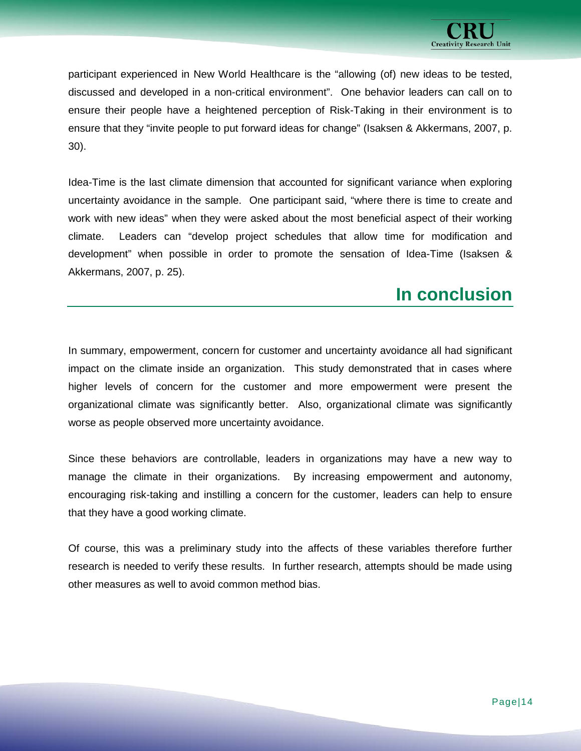

participant experienced in New World Healthcare is the "allowing (of) new ideas to be tested, discussed and developed in a non-critical environment". One behavior leaders can call on to ensure their people have a heightened perception of Risk-Taking in their environment is to ensure that they "invite people to put forward ideas for change" (Isaksen & Akkermans, 2007, p. 30).

Idea-Time is the last climate dimension that accounted for significant variance when exploring uncertainty avoidance in the sample. One participant said, "where there is time to create and work with new ideas" when they were asked about the most beneficial aspect of their working climate. Leaders can "develop project schedules that allow time for modification and development" when possible in order to promote the sensation of Idea-Time (Isaksen & Akkermans, 2007, p. 25).

### **In conclusion**

In summary, empowerment, concern for customer and uncertainty avoidance all had significant impact on the climate inside an organization. This study demonstrated that in cases where higher levels of concern for the customer and more empowerment were present the organizational climate was significantly better. Also, organizational climate was significantly worse as people observed more uncertainty avoidance.

Since these behaviors are controllable, leaders in organizations may have a new way to manage the climate in their organizations. By increasing empowerment and autonomy, encouraging risk-taking and instilling a concern for the customer, leaders can help to ensure that they have a good working climate.

Of course, this was a preliminary study into the affects of these variables therefore further research is needed to verify these results. In further research, attempts should be made using other measures as well to avoid common method bias.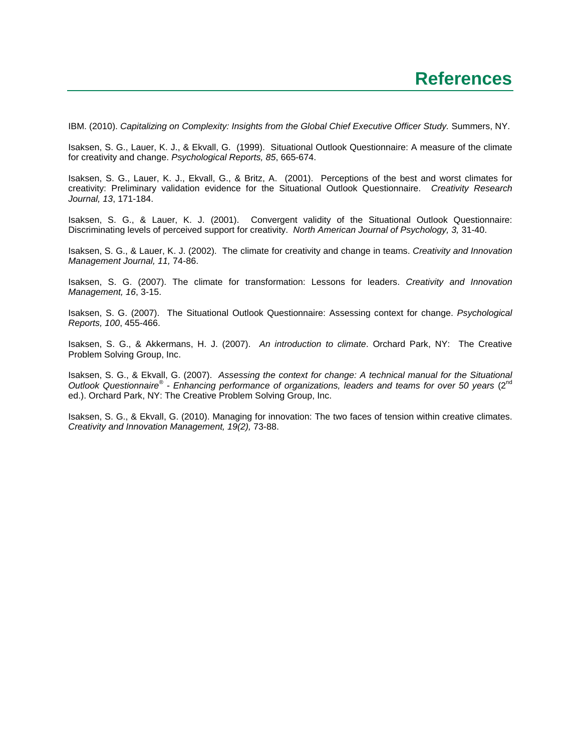IBM. (2010). *Capitalizing on Complexity: Insights from the Global Chief Executive Officer Study.* Summers, NY.

Isaksen, S. G., Lauer, K. J., & Ekvall, G. (1999). Situational Outlook Questionnaire: A measure of the climate for creativity and change. *Psychological Reports, 85*, 665-674.

Isaksen, S. G., Lauer, K. J., Ekvall, G., & Britz, A. (2001). Perceptions of the best and worst climates for creativity: Preliminary validation evidence for the Situational Outlook Questionnaire. *Creativity Research Journal, 13*, 171-184.

Isaksen, S. G., & Lauer, K. J. (2001). Convergent validity of the Situational Outlook Questionnaire: Discriminating levels of perceived support for creativity. *North American Journal of Psychology, 3,* 31-40.

Isaksen, S. G., & Lauer, K. J. (2002). The climate for creativity and change in teams. *Creativity and Innovation Management Journal, 11,* 74-86.

Isaksen, S. G. (2007). The climate for transformation: Lessons for leaders. *Creativity and Innovation Management, 16*, 3-15.

Isaksen, S. G. (2007). The Situational Outlook Questionnaire: Assessing context for change. *Psychological Reports, 100*, 455-466.

Isaksen, S. G., & Akkermans, H. J. (2007). *An introduction to climate*. Orchard Park, NY: The Creative Problem Solving Group, Inc.

Isaksen, S. G., & Ekvall, G. (2007). *Assessing the context for change: A technical manual for the Situational Outlook Questionnaire® - Enhancing performance of organizations, leaders and teams for over 50 years* (2nd ed.). Orchard Park, NY: The Creative Problem Solving Group, Inc.

Isaksen, S. G., & Ekvall, G. (2010). Managing for innovation: The two faces of tension within creative climates. *Creativity and Innovation Management, 19(2),* 73-88.